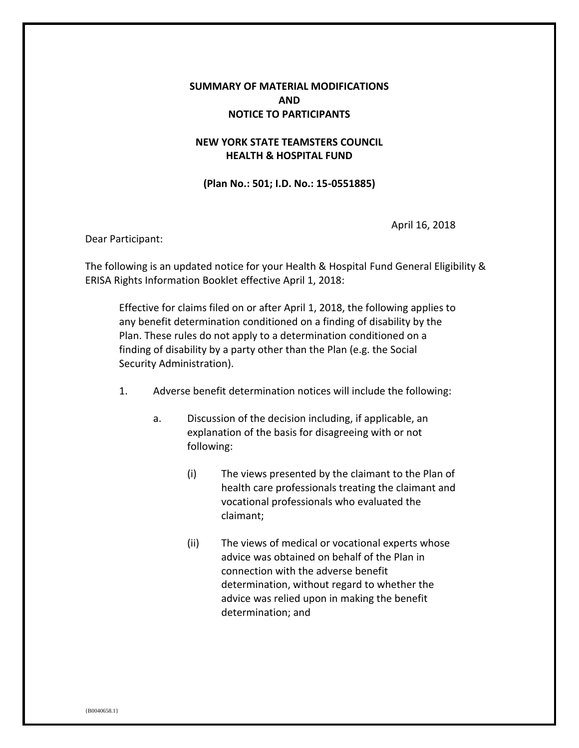## **SUMMARY OF MATERIAL MODIFICATIONS AND NOTICE TO PARTICIPANTS**

## **NEW YORK STATE TEAMSTERS COUNCIL HEALTH & HOSPITAL FUND**

**(Plan No.: 501; I.D. No.: 15-0551885)**

April 16, 2018

Dear Participant:

The following is an updated notice for your Health & Hospital Fund General Eligibility & ERISA Rights Information Booklet effective April 1, 2018:

Effective for claims filed on or after April 1, 2018, the following applies to any benefit determination conditioned on a finding of disability by the Plan. These rules do not apply to a determination conditioned on a finding of disability by a party other than the Plan (e.g. the Social Security Administration).

- 1. Adverse benefit determination notices will include the following:
	- a. Discussion of the decision including, if applicable, an explanation of the basis for disagreeing with or not following:
		- (i) The views presented by the claimant to the Plan of health care professionals treating the claimant and vocational professionals who evaluated the claimant;
		- (ii) The views of medical or vocational experts whose advice was obtained on behalf of the Plan in connection with the adverse benefit determination, without regard to whether the advice was relied upon in making the benefit determination; and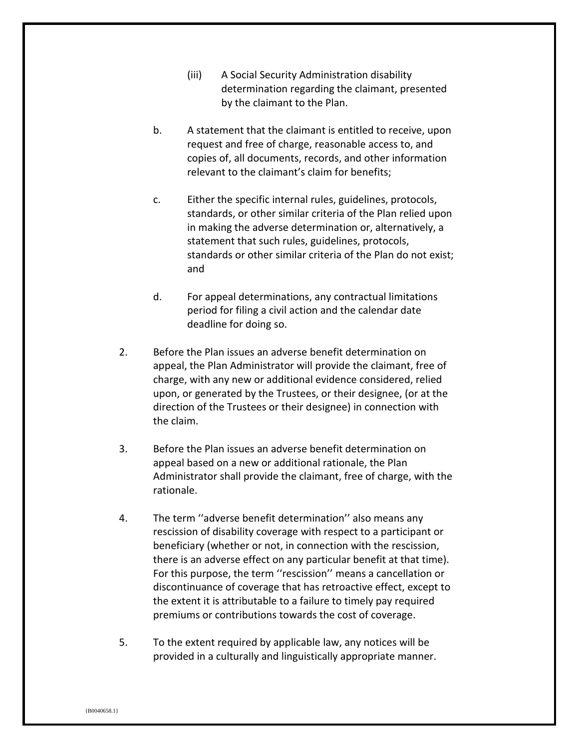- (iii) A Social Security Administration disability determination regarding the claimant, presented by the claimant to the Plan.
- b. A statement that the claimant is entitled to receive, upon request and free of charge, reasonable access to, and copies of, all documents, records, and other information relevant to the claimant's claim for benefits;
- c. Either the specific internal rules, guidelines, protocols, standards, or other similar criteria of the Plan relied upon in making the adverse determination or, alternatively, a statement that such rules, guidelines, protocols, standards or other similar criteria of the Plan do not exist; and
- d. For appeal determinations, any contractual limitations period for filing a civil action and the calendar date deadline for doing so.
- 2. Before the Plan issues an adverse benefit determination on appeal, the Plan Administrator will provide the claimant, free of charge, with any new or additional evidence considered, relied upon, or generated by the Trustees, or their designee, (or at the direction of the Trustees or their designee) in connection with the claim.
- 3. Before the Plan issues an adverse benefit determination on appeal based on a new or additional rationale, the Plan Administrator shall provide the claimant, free of charge, with the rationale.
- 4. The term ''adverse benefit determination'' also means any rescission of disability coverage with respect to a participant or beneficiary (whether or not, in connection with the rescission, there is an adverse effect on any particular benefit at that time). For this purpose, the term ''rescission'' means a cancellation or discontinuance of coverage that has retroactive effect, except to the extent it is attributable to a failure to timely pay required premiums or contributions towards the cost of coverage.
- 5. To the extent required by applicable law, any notices will be provided in a culturally and linguistically appropriate manner.